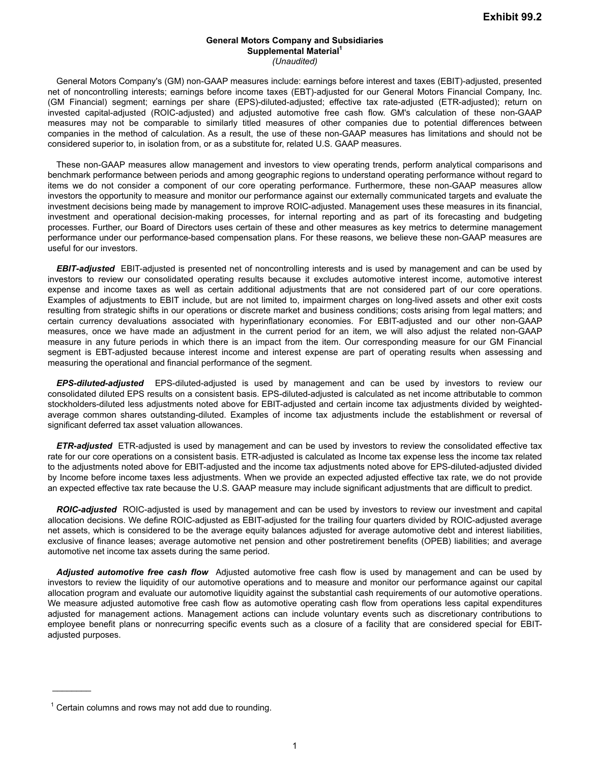General Motors Company's (GM) non-GAAP measures include: earnings before interest and taxes (EBIT)-adjusted, presented net of noncontrolling interests; earnings before income taxes (EBT)-adjusted for our General Motors Financial Company, Inc. (GM Financial) segment; earnings per share (EPS)-diluted-adjusted; effective tax rate-adjusted (ETR-adjusted); return on invested capital-adjusted (ROIC-adjusted) and adjusted automotive free cash flow. GM's calculation of these non-GAAP measures may not be comparable to similarly titled measures of other companies due to potential differences between companies in the method of calculation. As a result, the use of these non-GAAP measures has limitations and should not be considered superior to, in isolation from, or as a substitute for, related U.S. GAAP measures.

These non-GAAP measures allow management and investors to view operating trends, perform analytical comparisons and benchmark performance between periods and among geographic regions to understand operating performance without regard to items we do not consider a component of our core operating performance. Furthermore, these non-GAAP measures allow investors the opportunity to measure and monitor our performance against our externally communicated targets and evaluate the investment decisions being made by management to improve ROIC-adjusted. Management uses these measures in its financial, investment and operational decision-making processes, for internal reporting and as part of its forecasting and budgeting processes. Further, our Board of Directors uses certain of these and other measures as key metrics to determine management performance under our performance-based compensation plans. For these reasons, we believe these non-GAAP measures are useful for our investors.

*EBIT-adjusted* EBIT-adjusted is presented net of noncontrolling interests and is used by management and can be used by investors to review our consolidated operating results because it excludes automotive interest income, automotive interest expense and income taxes as well as certain additional adjustments that are not considered part of our core operations. Examples of adjustments to EBIT include, but are not limited to, impairment charges on long-lived assets and other exit costs resulting from strategic shifts in our operations or discrete market and business conditions; costs arising from legal matters; and certain currency devaluations associated with hyperinflationary economies. For EBIT-adjusted and our other non-GAAP measures, once we have made an adjustment in the current period for an item, we will also adjust the related non-GAAP measure in any future periods in which there is an impact from the item. Our corresponding measure for our GM Financial segment is EBT-adjusted because interest income and interest expense are part of operating results when assessing and measuring the operational and financial performance of the segment.

*EPS-diluted-adjusted* EPS-diluted-adjusted is used by management and can be used by investors to review our consolidated diluted EPS results on a consistent basis. EPS-diluted-adjusted is calculated as net income attributable to common stockholders-diluted less adjustments noted above for EBIT-adjusted and certain income tax adjustments divided by weightedaverage common shares outstanding-diluted. Examples of income tax adjustments include the establishment or reversal of significant deferred tax asset valuation allowances.

*ETR-adjusted* ETR-adjusted is used by management and can be used by investors to review the consolidated effective tax rate for our core operations on a consistent basis. ETR-adjusted is calculated as Income tax expense less the income tax related to the adjustments noted above for EBIT-adjusted and the income tax adjustments noted above for EPS-diluted-adjusted divided by Income before income taxes less adjustments. When we provide an expected adjusted effective tax rate, we do not provide an expected effective tax rate because the U.S. GAAP measure may include significant adjustments that are difficult to predict.

*ROIC-adjusted* ROIC-adjusted is used by management and can be used by investors to review our investment and capital allocation decisions. We define ROIC-adjusted as EBIT-adjusted for the trailing four quarters divided by ROIC-adjusted average net assets, which is considered to be the average equity balances adjusted for average automotive debt and interest liabilities, exclusive of finance leases; average automotive net pension and other postretirement benefits (OPEB) liabilities; and average automotive net income tax assets during the same period.

*Adjusted automotive free cash flow* Adjusted automotive free cash flow is used by management and can be used by investors to review the liquidity of our automotive operations and to measure and monitor our performance against our capital allocation program and evaluate our automotive liquidity against the substantial cash requirements of our automotive operations. We measure adjusted automotive free cash flow as automotive operating cash flow from operations less capital expenditures adjusted for management actions. Management actions can include voluntary events such as discretionary contributions to employee benefit plans or nonrecurring specific events such as a closure of a facility that are considered special for EBITadjusted purposes.

 $\frac{1}{2}$ 

 $1$  Certain columns and rows may not add due to rounding.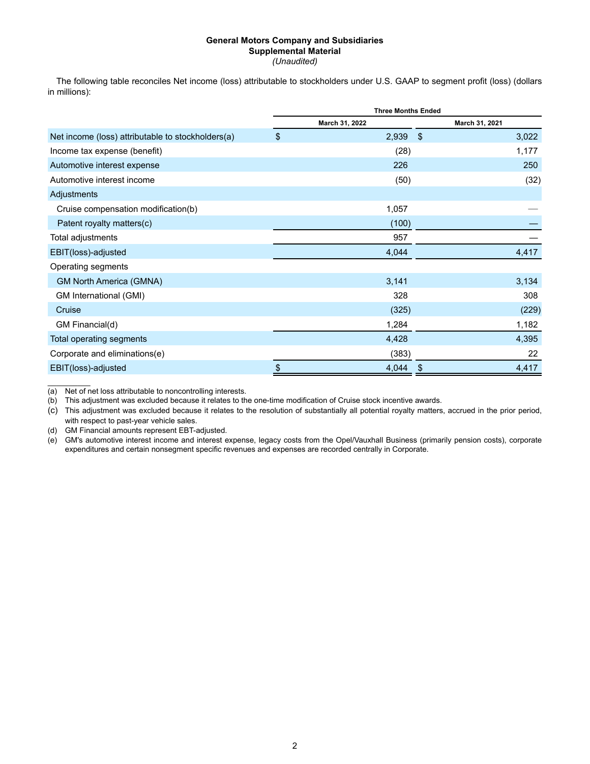The following table reconciles Net income (loss) attributable to stockholders under U.S. GAAP to segment profit (loss) (dollars in millions):

|                                                   | <b>Three Months Ended</b> |                |                |  |  |  |  |
|---------------------------------------------------|---------------------------|----------------|----------------|--|--|--|--|
|                                                   |                           | March 31, 2022 | March 31, 2021 |  |  |  |  |
| Net income (loss) attributable to stockholders(a) | $\sqrt[6]{\frac{1}{2}}$   | $2,939$ \$     | 3,022          |  |  |  |  |
| Income tax expense (benefit)                      |                           | (28)           | 1,177          |  |  |  |  |
| Automotive interest expense                       |                           | 226            | 250            |  |  |  |  |
| Automotive interest income                        |                           | (50)           | (32)           |  |  |  |  |
| Adjustments                                       |                           |                |                |  |  |  |  |
| Cruise compensation modification(b)               |                           | 1,057          |                |  |  |  |  |
| Patent royalty matters(c)                         |                           | (100)          |                |  |  |  |  |
| Total adjustments                                 |                           | 957            |                |  |  |  |  |
| EBIT(loss)-adjusted                               |                           | 4,044          | 4,417          |  |  |  |  |
| Operating segments                                |                           |                |                |  |  |  |  |
| <b>GM North America (GMNA)</b>                    |                           | 3,141          | 3,134          |  |  |  |  |
| GM International (GMI)                            |                           | 328            | 308            |  |  |  |  |
| Cruise                                            |                           | (325)          | (229)          |  |  |  |  |
| GM Financial(d)                                   |                           | 1,284          | 1,182          |  |  |  |  |
| Total operating segments                          |                           | 4,428          | 4,395          |  |  |  |  |
| Corporate and eliminations(e)                     |                           | (383)          | 22             |  |  |  |  |
| EBIT(loss)-adjusted                               | $\boldsymbol{\$}$         | 4,044          | 4,417<br>\$    |  |  |  |  |

(a) Net of net loss attributable to noncontrolling interests.

 $\mathcal{L}_\text{max}$ 

(b) This adjustment was excluded because it relates to the one-time modification of Cruise stock incentive awards.

(c) This adjustment was excluded because it relates to the resolution of substantially all potential royalty matters, accrued in the prior period, with respect to past-year vehicle sales.

(d) GM Financial amounts represent EBT-adjusted.

(e) GM's automotive interest income and interest expense, legacy costs from the Opel/Vauxhall Business (primarily pension costs), corporate expenditures and certain nonsegment specific revenues and expenses are recorded centrally in Corporate.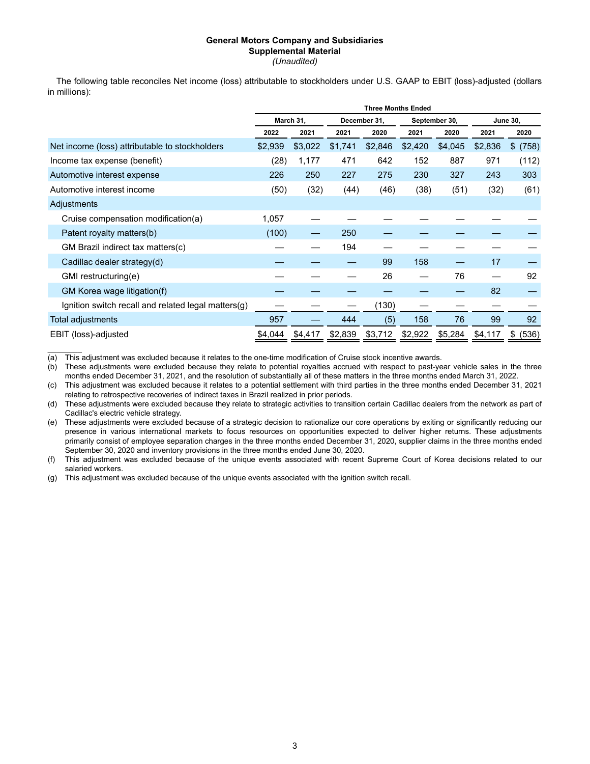The following table reconciles Net income (loss) attributable to stockholders under U.S. GAAP to EBIT (loss)-adjusted (dollars in millions):

|                                                     | <b>Three Months Ended</b> |           |         |              |         |               |         |                 |
|-----------------------------------------------------|---------------------------|-----------|---------|--------------|---------|---------------|---------|-----------------|
|                                                     |                           | March 31, |         | December 31, |         | September 30, |         | <b>June 30.</b> |
|                                                     | 2022                      | 2021      | 2021    | 2020         | 2021    | 2020          | 2021    | 2020            |
| Net income (loss) attributable to stockholders      | \$2,939                   | \$3,022   | \$1,741 | \$2,846      | \$2,420 | \$4,045       | \$2,836 | \$ (758)        |
| Income tax expense (benefit)                        | (28)                      | 1,177     | 471     | 642          | 152     | 887           | 971     | (112)           |
| Automotive interest expense                         | 226                       | 250       | 227     | 275          | 230     | 327           | 243     | 303             |
| Automotive interest income                          | (50)                      | (32)      | (44)    | (46)         | (38)    | (51)          | (32)    | (61)            |
| Adjustments                                         |                           |           |         |              |         |               |         |                 |
| Cruise compensation modification(a)                 | 1,057                     |           |         |              |         |               |         |                 |
| Patent royalty matters(b)                           | (100)                     |           | 250     |              |         |               |         |                 |
| GM Brazil indirect tax matters(c)                   |                           |           | 194     |              |         |               |         |                 |
| Cadillac dealer strategy(d)                         |                           |           |         | 99           | 158     |               | 17      |                 |
| GMI restructuring(e)                                |                           |           |         | 26           |         | 76            |         | 92              |
| GM Korea wage litigation(f)                         |                           |           |         |              |         |               | 82      |                 |
| Ignition switch recall and related legal matters(g) |                           |           |         | (130)        |         |               |         |                 |
| Total adjustments                                   | 957                       |           | 444     | (5)          | 158     | 76            | 99      | 92              |
| EBIT (loss)-adjusted                                | \$4,044                   | \$4,417   | \$2,839 | \$3,712      | \$2,922 | \$5,284       | \$4,117 | (536)<br>\$     |

(a) This adjustment was excluded because it relates to the one-time modification of Cruise stock incentive awards.<br>(b) These adjustments were excluded because they relate to potential royalties accrued with respect to past

 $\overline{\mathcal{L}}$ 

These adjustments were excluded because they relate to potential royalties accrued with respect to past-year vehicle sales in the three months ended December 31, 2021, and the resolution of substantially all of these matters in the three months ended March 31, 2022.

(c) This adjustment was excluded because it relates to a potential settlement with third parties in the three months ended December 31, 2021 relating to retrospective recoveries of indirect taxes in Brazil realized in prior periods.

(d) These adjustments were excluded because they relate to strategic activities to transition certain Cadillac dealers from the network as part of Cadillac's electric vehicle strategy.

(e) These adjustments were excluded because of a strategic decision to rationalize our core operations by exiting or significantly reducing our presence in various international markets to focus resources on opportunities expected to deliver higher returns. These adjustments primarily consist of employee separation charges in the three months ended December 31, 2020, supplier claims in the three months ended September 30, 2020 and inventory provisions in the three months ended June 30, 2020.

(f) This adjustment was excluded because of the unique events associated with recent Supreme Court of Korea decisions related to our salaried workers.

(g) This adjustment was excluded because of the unique events associated with the ignition switch recall.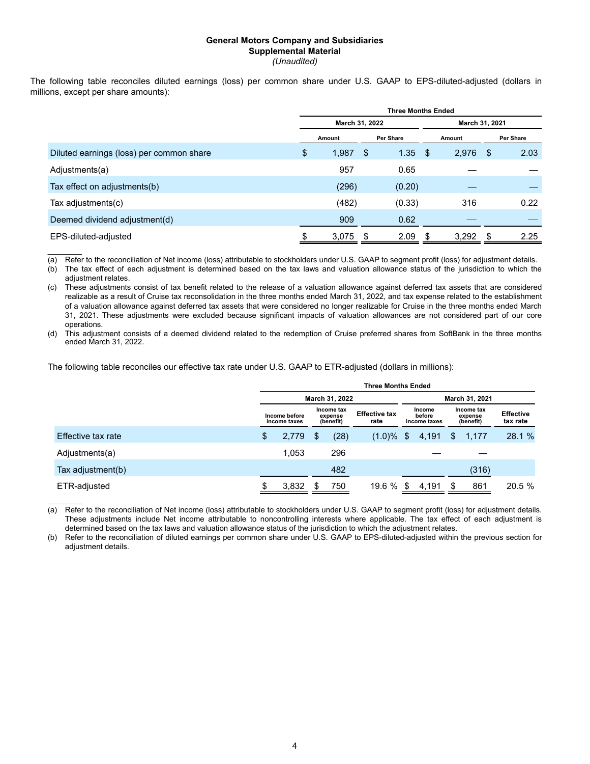The following table reconciles diluted earnings (loss) per common share under U.S. GAAP to EPS-diluted-adjusted (dollars in millions, except per share amounts):

| <b>Three Months Ended</b> |        |    |           |                |        |     |           |
|---------------------------|--------|----|-----------|----------------|--------|-----|-----------|
|                           |        |    |           | March 31, 2021 |        |     |           |
|                           | Amount |    | Per Share |                | Amount |     | Per Share |
| \$                        | 1,987  | \$ | 1.35      | \$             | 2,976  | -\$ | 2.03      |
|                           | 957    |    | 0.65      |                |        |     |           |
|                           | (296)  |    | (0.20)    |                |        |     |           |
|                           | (482)  |    | (0.33)    |                | 316    |     | 0.22      |
|                           | 909    |    | 0.62      |                |        |     |           |
|                           | 3,075  | S  | 2.09      | \$             | 3,292  | \$. | 2.25      |
|                           |        |    |           | March 31, 2022 |        |     |           |

(a) Refer to the reconciliation of Net income (loss) attributable to stockholders under U.S. GAAP to segment profit (loss) for adjustment details.

(b) The tax effect of each adjustment is determined based on the tax laws and valuation allowance status of the jurisdiction to which the adiustment relates.

(c) These adjustments consist of tax benefit related to the release of a valuation allowance against deferred tax assets that are considered realizable as a result of Cruise tax reconsolidation in the three months ended March 31, 2022, and tax expense related to the establishment of a valuation allowance against deferred tax assets that were considered no longer realizable for Cruise in the three months ended March 31, 2021. These adjustments were excluded because significant impacts of valuation allowances are not considered part of our core operations.

(d) This adjustment consists of a deemed dividend related to the redemption of Cruise preferred shares from SoftBank in the three months ended March 31, 2022.

The following table reconciles our effective tax rate under U.S. GAAP to ETR-adjusted (dollars in millions):

 $\mathcal{L}=\mathcal{L}$ 

|                    | <b>Three Months Ended</b>                                           |       |                              |                                  |              |                                    |       |                              |                |        |
|--------------------|---------------------------------------------------------------------|-------|------------------------------|----------------------------------|--------------|------------------------------------|-------|------------------------------|----------------|--------|
|                    |                                                                     |       |                              | March 31, 2022                   |              |                                    |       |                              | March 31, 2021 |        |
|                    | Income tax<br>Income before<br>expense<br>(benefit)<br>income taxes |       | <b>Effective tax</b><br>rate | Income<br>before<br>income taxes |              | Income tax<br>expense<br>(benefit) |       | <b>Effective</b><br>tax rate |                |        |
| Effective tax rate | \$                                                                  | 2,779 | S                            | (28)                             | $(1.0)\%$ \$ |                                    | 4,191 | \$                           | 1,177          | 28.1 % |
| Adjustments(a)     |                                                                     | 1.053 |                              | 296                              |              |                                    |       |                              |                |        |
| Tax adjustment(b)  |                                                                     |       |                              | 482                              |              |                                    |       |                              | (316)          |        |
| ETR-adjusted       |                                                                     | 3,832 | S.                           | 750                              | 19.6 %       | S                                  | 4,191 |                              | 861            | 20.5 % |

 $\mathcal{L}=\mathcal{L}$ (a) Refer to the reconciliation of Net income (loss) attributable to stockholders under U.S. GAAP to segment profit (loss) for adjustment details. These adjustments include Net income attributable to noncontrolling interests where applicable. The tax effect of each adjustment is determined based on the tax laws and valuation allowance status of the jurisdiction to which the adjustment relates.

(b) Refer to the reconciliation of diluted earnings per common share under U.S. GAAP to EPS-diluted-adjusted within the previous section for adjustment details.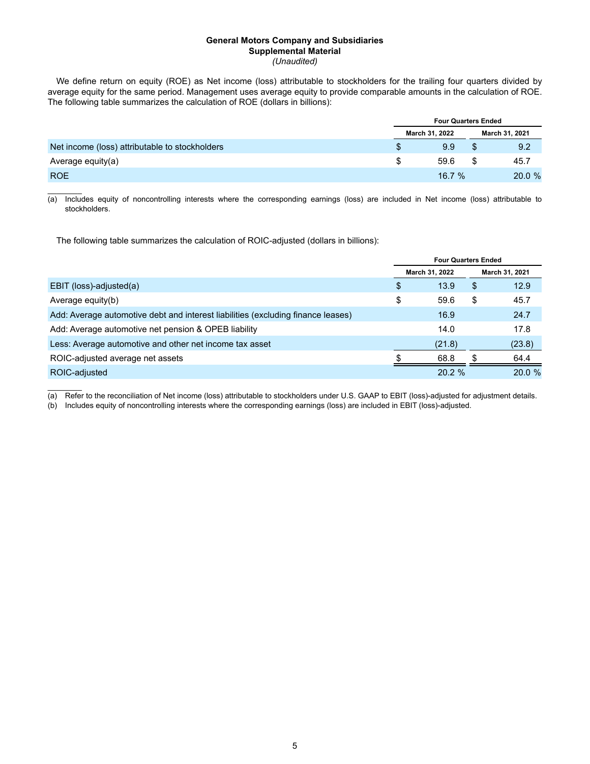We define return on equity (ROE) as Net income (loss) attributable to stockholders for the trailing four quarters divided by average equity for the same period. Management uses average equity to provide comparable amounts in the calculation of ROE. The following table summarizes the calculation of ROE (dollars in billions):

|                                                | <b>Four Quarters Ended</b> |  |                |  |  |  |
|------------------------------------------------|----------------------------|--|----------------|--|--|--|
|                                                | March 31, 2022             |  | March 31, 2021 |  |  |  |
| Net income (loss) attributable to stockholders | 9.9                        |  | 9.2            |  |  |  |
| Average equity(a)                              | 59.6                       |  | 45.7           |  |  |  |
| <b>ROE</b>                                     | 16.7%                      |  | 20.0 %         |  |  |  |

 $\mathcal{L}=\mathcal{L}$ (a) Includes equity of noncontrolling interests where the corresponding earnings (loss) are included in Net income (loss) attributable to stockholders.

The following table summarizes the calculation of ROIC-adjusted (dollars in billions):

 $\mathcal{L}=\mathcal{L}$ 

|                                                                                  |    | <b>Four Quarters Ended</b> |    |                |
|----------------------------------------------------------------------------------|----|----------------------------|----|----------------|
|                                                                                  |    | March 31, 2022             |    | March 31, 2021 |
| EBIT (loss)-adjusted(a)                                                          | \$ | 13.9                       | S  | 12.9           |
| Average equity(b)                                                                | \$ | 59.6                       | \$ | 45.7           |
| Add: Average automotive debt and interest liabilities (excluding finance leases) |    | 16.9                       |    | 24.7           |
| Add: Average automotive net pension & OPEB liability                             |    | 14.0                       |    | 17.8           |
| Less: Average automotive and other net income tax asset                          |    | (21.8)                     |    | (23.8)         |
| ROIC-adjusted average net assets                                                 |    | 68.8                       |    | 64.4           |
| ROIC-adjusted                                                                    |    | 20.2 %                     |    | 20.0%          |

(a) Refer to the reconciliation of Net income (loss) attributable to stockholders under U.S. GAAP to EBIT (loss)-adjusted for adjustment details.

(b) Includes equity of noncontrolling interests where the corresponding earnings (loss) are included in EBIT (loss)-adjusted.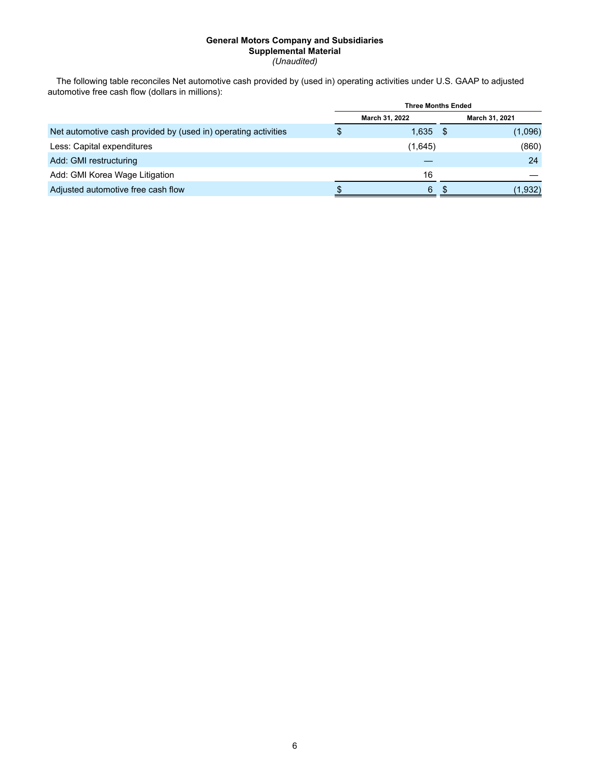The following table reconciles Net automotive cash provided by (used in) operating activities under U.S. GAAP to adjusted automotive free cash flow (dollars in millions):

|                                                                | <b>Three Months Ended</b> |                |  |                |  |  |
|----------------------------------------------------------------|---------------------------|----------------|--|----------------|--|--|
|                                                                |                           | March 31, 2022 |  | March 31, 2021 |  |  |
| Net automotive cash provided by (used in) operating activities | \$                        | $1,635$ \$     |  | (1,096)        |  |  |
| Less: Capital expenditures                                     |                           | (1,645)        |  | (860)          |  |  |
| Add: GMI restructuring                                         |                           |                |  | 24             |  |  |
| Add: GMI Korea Wage Litigation                                 |                           | 16             |  |                |  |  |
| Adjusted automotive free cash flow                             |                           | 6              |  | (1,932)        |  |  |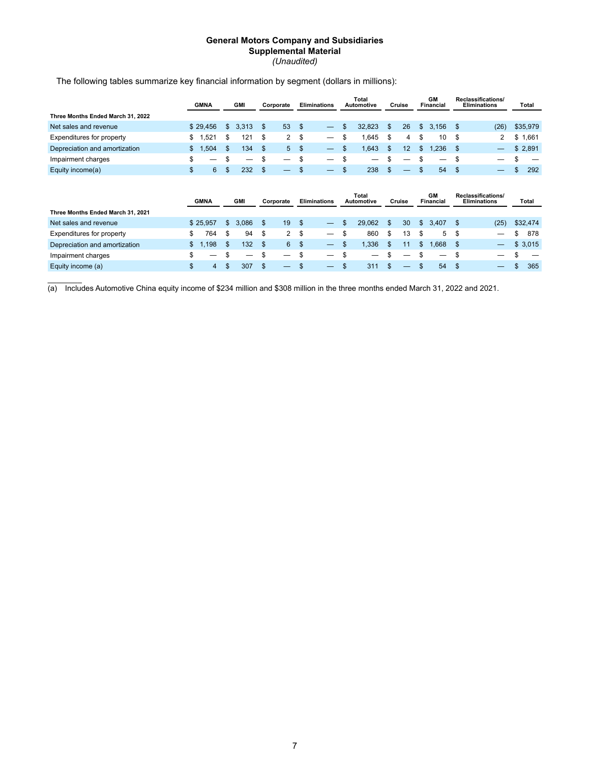|                                   | <b>GMNA</b> | <b>GMI</b>  |              | Corporate      |                | <b>Eliminations</b>      |    | Total<br>Automotive |     | Cruise |              | <b>GM</b><br><b>Financial</b> |      | Reclassifications/<br><b>Eliminations</b> | Total     |
|-----------------------------------|-------------|-------------|--------------|----------------|----------------|--------------------------|----|---------------------|-----|--------|--------------|-------------------------------|------|-------------------------------------------|-----------|
| Three Months Ended March 31, 2022 |             |             |              |                |                |                          |    |                     |     |        |              |                               |      |                                           |           |
| Net sales and revenue             | \$29,456    | \$<br>3,313 | \$           | 53             | \$             | $\overline{\phantom{0}}$ | S  | 32,823              | \$. | 26     | \$           | 3,156                         | \$   | (26)                                      | \$35,979  |
| Expenditures for property         | \$<br>,521  | \$<br>121   | \$           | $\overline{2}$ | \$             |                          | \$ | 1,645               | \$  | 4      | \$           | 10                            | \$   | $\overline{2}$                            | \$1,661   |
| Depreciation and amortization     | \$<br>,504  | \$<br>134   | \$           | 5              | $\mathfrak{s}$ |                          | \$ | 1,643               | \$. | 12     | \$           | 1.236                         | \$   |                                           | \$2,891   |
| Impairment charges                | \$          | \$<br>–     | \$           | —              | \$             |                          | \$ |                     |     |        | \$           |                               | \$   |                                           | \$        |
| Equity income(a)                  | \$<br>6     | \$<br>232   | $\mathbb{S}$ |                | \$             |                          | \$ | 238                 | \$  |        | \$           | 54                            | - \$ |                                           | \$<br>292 |
|                                   | <b>GMNA</b> | <b>GMI</b>  |              | Corporate      |                | <b>Eliminations</b>      |    | Total<br>Automotive |     | Cruise |              | <b>GM</b><br><b>Financial</b> |      | Reclassifications/<br><b>Eliminations</b> | Total     |
| Three Months Ended March 31, 2021 |             |             |              |                |                |                          |    |                     |     |        |              |                               |      |                                           |           |
| Net sales and revenue             | \$25,957    | \$<br>3,086 | \$           | 19             | \$             | $\overline{\phantom{0}}$ | \$ | 29,062              | \$. | 30     | $\mathbb{S}$ | 3,407                         | \$.  | (25)                                      | \$32,474  |
| Expenditures for property         | \$<br>764   | \$<br>94    | \$           | $\overline{2}$ | \$             |                          | \$ | 860                 | \$  | 13     | \$           | 5                             | \$   |                                           | \$<br>878 |
| Depreciation and amortization     | \$<br>1,198 | \$<br>132   | \$           | 6              | $\mathsf{\$}$  |                          | \$ | 1,336               | \$. | 11     | \$           | 1,668                         | \$   |                                           | \$3,015   |
| Impairment charges                | \$<br>–     | \$          | \$           |                | \$             |                          | \$ | –                   |     | –      | \$           | —                             | \$   |                                           | \$        |
| Equity income (a)                 | \$          | \$<br>307   | \$           |                | \$             |                          | \$ | 311                 |     |        | \$           | 54                            | \$   |                                           | \$<br>365 |

The following tables summarize key financial information by segment (dollars in millions):

 $\overline{\mathcal{L}}$ (a) Includes Automotive China equity income of \$234 million and \$308 million in the three months ended March 31, 2022 and 2021.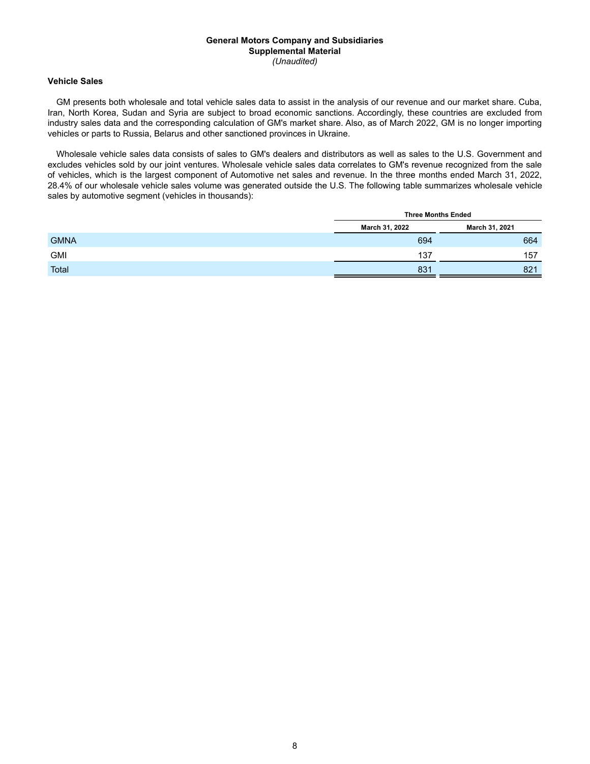## **Vehicle Sales**

GM presents both wholesale and total vehicle sales data to assist in the analysis of our revenue and our market share. Cuba, Iran, North Korea, Sudan and Syria are subject to broad economic sanctions. Accordingly, these countries are excluded from industry sales data and the corresponding calculation of GM's market share. Also, as of March 2022, GM is no longer importing vehicles or parts to Russia, Belarus and other sanctioned provinces in Ukraine.

Wholesale vehicle sales data consists of sales to GM's dealers and distributors as well as sales to the U.S. Government and excludes vehicles sold by our joint ventures. Wholesale vehicle sales data correlates to GM's revenue recognized from the sale of vehicles, which is the largest component of Automotive net sales and revenue. In the three months ended March 31, 2022, 28.4% of our wholesale vehicle sales volume was generated outside the U.S. The following table summarizes wholesale vehicle sales by automotive segment (vehicles in thousands):

|             |                | <b>Three Months Ended</b> |
|-------------|----------------|---------------------------|
|             | March 31, 2022 | March 31, 2021            |
| <b>GMNA</b> | 694            | 664                       |
| <b>GMI</b>  | 137            | 157                       |
| Total       | 831            | 821                       |
|             |                |                           |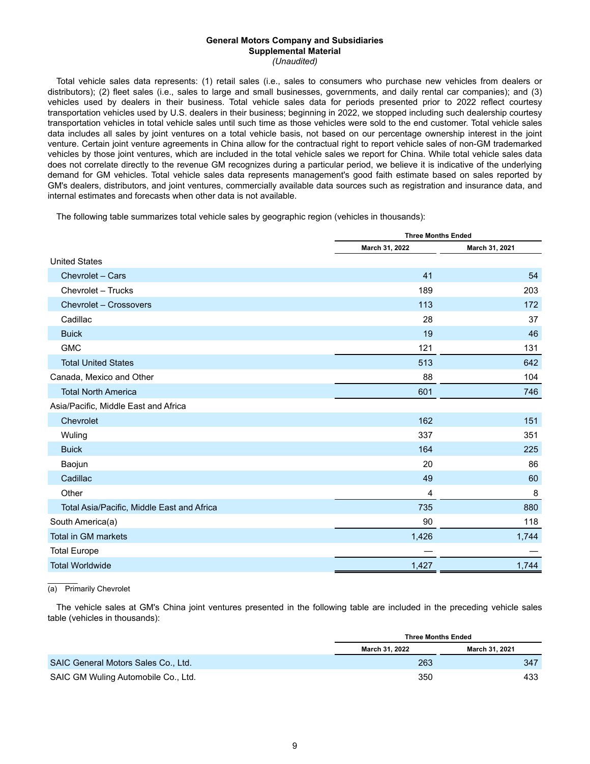Total vehicle sales data represents: (1) retail sales (i.e., sales to consumers who purchase new vehicles from dealers or distributors); (2) fleet sales (i.e., sales to large and small businesses, governments, and daily rental car companies); and (3) vehicles used by dealers in their business. Total vehicle sales data for periods presented prior to 2022 reflect courtesy transportation vehicles used by U.S. dealers in their business; beginning in 2022, we stopped including such dealership courtesy transportation vehicles in total vehicle sales until such time as those vehicles were sold to the end customer. Total vehicle sales data includes all sales by joint ventures on a total vehicle basis, not based on our percentage ownership interest in the joint venture. Certain joint venture agreements in China allow for the contractual right to report vehicle sales of non-GM trademarked vehicles by those joint ventures, which are included in the total vehicle sales we report for China. While total vehicle sales data does not correlate directly to the revenue GM recognizes during a particular period, we believe it is indicative of the underlying demand for GM vehicles. Total vehicle sales data represents management's good faith estimate based on sales reported by GM's dealers, distributors, and joint ventures, commercially available data sources such as registration and insurance data, and internal estimates and forecasts when other data is not available.

The following table summarizes total vehicle sales by geographic region (vehicles in thousands):

|                                            | <b>Three Months Ended</b> |                |  |  |
|--------------------------------------------|---------------------------|----------------|--|--|
|                                            | March 31, 2022            | March 31, 2021 |  |  |
| <b>United States</b>                       |                           |                |  |  |
| Chevrolet - Cars                           | 41                        | 54             |  |  |
| Chevrolet - Trucks                         | 189                       | 203            |  |  |
| Chevrolet - Crossovers                     | 113                       | 172            |  |  |
| Cadillac                                   | 28                        | 37             |  |  |
| <b>Buick</b>                               | 19                        | 46             |  |  |
| <b>GMC</b>                                 | 121                       | 131            |  |  |
| <b>Total United States</b>                 | 513                       | 642            |  |  |
| Canada, Mexico and Other                   | 88                        | 104            |  |  |
| <b>Total North America</b>                 | 601                       | 746            |  |  |
| Asia/Pacific, Middle East and Africa       |                           |                |  |  |
| Chevrolet                                  | 162                       | 151            |  |  |
| Wuling                                     | 337                       | 351            |  |  |
| <b>Buick</b>                               | 164                       | 225            |  |  |
| Baojun                                     | 20                        | 86             |  |  |
| Cadillac                                   | 49                        | 60             |  |  |
| Other                                      | 4                         | 8              |  |  |
| Total Asia/Pacific, Middle East and Africa | 735                       | 880            |  |  |
| South America(a)                           | 90                        | 118            |  |  |
| <b>Total in GM markets</b>                 | 1,426                     | 1,744          |  |  |
| <b>Total Europe</b>                        |                           |                |  |  |
| <b>Total Worldwide</b>                     | 1,427                     | 1,744          |  |  |

 $\mathcal{L}$ (a) Primarily Chevrolet

The vehicle sales at GM's China joint ventures presented in the following table are included in the preceding vehicle sales table (vehicles in thousands):

|                                     | <b>Three Months Ended</b> |                |  |  |  |  |
|-------------------------------------|---------------------------|----------------|--|--|--|--|
|                                     | March 31, 2022            | March 31, 2021 |  |  |  |  |
| SAIC General Motors Sales Co., Ltd. | 263                       | 347            |  |  |  |  |
| SAIC GM Wuling Automobile Co., Ltd. | 350                       | 433            |  |  |  |  |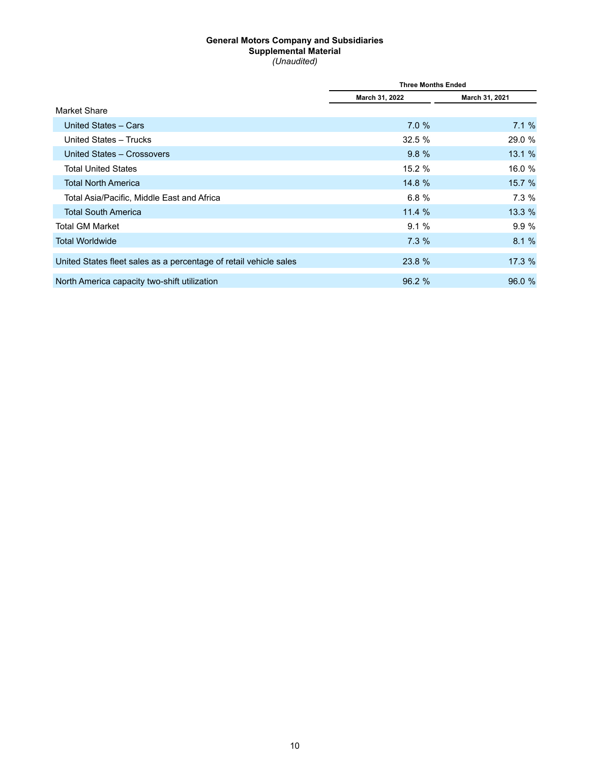|                                                                   | <b>Three Months Ended</b> |                |  |  |  |
|-------------------------------------------------------------------|---------------------------|----------------|--|--|--|
|                                                                   | March 31, 2022            | March 31, 2021 |  |  |  |
| Market Share                                                      |                           |                |  |  |  |
| United States - Cars                                              | 7.0%                      | 7.1%           |  |  |  |
| United States - Trucks                                            | 32.5%                     | 29.0 %         |  |  |  |
| United States - Crossovers                                        | 9.8%                      | 13.1%          |  |  |  |
| <b>Total United States</b>                                        | 15.2%                     | 16.0 %         |  |  |  |
| <b>Total North America</b>                                        | 14.8 %                    | 15.7%          |  |  |  |
| Total Asia/Pacific, Middle East and Africa                        | 6.8%                      | 7.3%           |  |  |  |
| <b>Total South America</b>                                        | 11.4%                     | 13.3 %         |  |  |  |
| Total GM Market                                                   | 9.1%                      | 9.9%           |  |  |  |
| <b>Total Worldwide</b>                                            | 7.3%                      | 8.1%           |  |  |  |
| United States fleet sales as a percentage of retail vehicle sales | 23.8 %                    | 17.3 %         |  |  |  |
| North America capacity two-shift utilization                      | 96.2 %                    | 96.0 %         |  |  |  |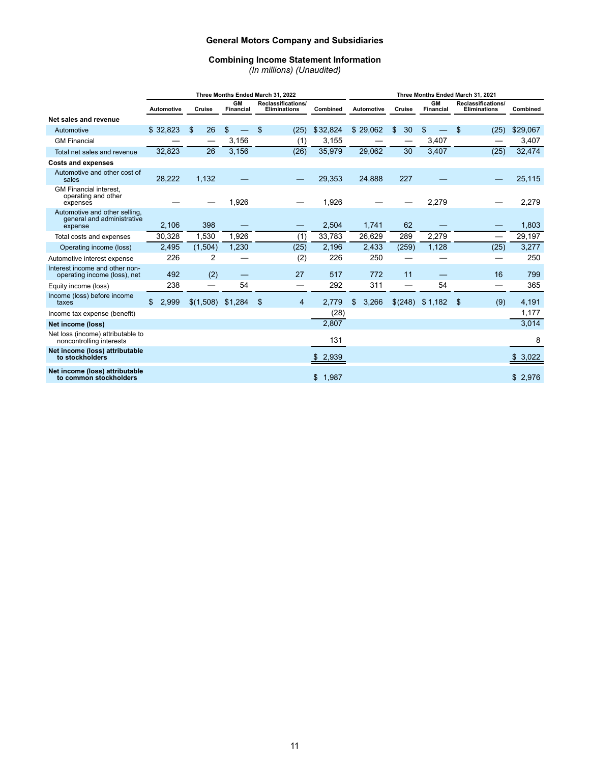# **Combining Income Statement Information**

*(In millions) (Unaudited)*

|                                                                        | Three Months Ended March 31, 2022 |          |        |           |                               |       |                                                  |                |    | Three Months Ended March 31, 2021 |                   |          |        |         |                               |       |                                    |  |                          |              |
|------------------------------------------------------------------------|-----------------------------------|----------|--------|-----------|-------------------------------|-------|--------------------------------------------------|----------------|----|-----------------------------------|-------------------|----------|--------|---------|-------------------------------|-------|------------------------------------|--|--------------------------|--------------|
|                                                                        | <b>Automotive</b>                 |          | Cruise |           | <b>GM</b><br><b>Financial</b> |       | <b>Reclassifications/</b><br><b>Eliminations</b> |                |    | Combined                          | <b>Automotive</b> |          | Cruise |         | <b>GM</b><br><b>Financial</b> |       | Reclassifications/<br>Eliminations |  | Combined                 |              |
| Net sales and revenue                                                  |                                   |          |        |           |                               |       |                                                  |                |    |                                   |                   |          |        |         |                               |       |                                    |  |                          |              |
| Automotive                                                             |                                   | \$32,823 | \$     | 26        | \$                            |       | \$                                               | (25)           |    | \$32,824                          |                   | \$29,062 | \$     | 30      | \$                            |       | \$                                 |  | (25)                     | \$29,067     |
| <b>GM Financial</b>                                                    |                                   |          |        |           |                               | 3,156 |                                                  | (1)            |    | 3,155                             |                   |          |        |         |                               | 3,407 |                                    |  |                          | 3,407        |
| Total net sales and revenue                                            |                                   | 32,823   |        | 26        |                               | 3,156 |                                                  | (26)           |    | 35,979                            |                   | 29,062   |        | 30      |                               | 3,407 |                                    |  | (25)                     | 32,474       |
| <b>Costs and expenses</b>                                              |                                   |          |        |           |                               |       |                                                  |                |    |                                   |                   |          |        |         |                               |       |                                    |  |                          |              |
| Automotive and other cost of<br>sales                                  |                                   | 28,222   |        | 1,132     |                               |       |                                                  |                |    | 29,353                            |                   | 24,888   |        | 227     |                               |       |                                    |  |                          | 25,115       |
| GM Financial interest,<br>operating and other<br>expenses              |                                   |          |        |           |                               | 1,926 |                                                  |                |    | 1,926                             |                   |          |        |         |                               | 2,279 |                                    |  |                          | 2,279        |
| Automotive and other selling,<br>general and administrative<br>expense |                                   | 2,106    |        | 398       |                               |       |                                                  |                |    | 2,504                             |                   | 1,741    |        | 62      |                               |       |                                    |  |                          | 1,803        |
| Total costs and expenses                                               |                                   | 30,328   |        | 1,530     |                               | 1.926 |                                                  | (1)            |    | 33,783                            |                   | 26,629   |        | 289     |                               | 2,279 |                                    |  | $\overline{\phantom{0}}$ | 29,197       |
| Operating income (loss)                                                |                                   | 2,495    |        | (1,504)   |                               | 1,230 |                                                  | (25)           |    | 2,196                             |                   | 2,433    |        | (259)   |                               | 1,128 |                                    |  | (25)                     | 3,277        |
| Automotive interest expense                                            |                                   | 226      |        | 2         |                               |       |                                                  | (2)            |    | 226                               |                   | 250      |        |         |                               |       |                                    |  |                          | 250          |
| Interest income and other non-<br>operating income (loss), net         |                                   | 492      |        | (2)       |                               |       |                                                  | 27             |    | 517                               |                   | 772      |        | 11      |                               |       |                                    |  | 16                       | 799          |
| Equity income (loss)                                                   |                                   | 238      |        |           |                               | 54    |                                                  | —              |    | 292                               |                   | 311      |        |         |                               | 54    |                                    |  |                          | 365          |
| Income (loss) before income<br>taxes                                   | \$                                | 2,999    |        | \$(1,508) | \$1,284                       |       | \$                                               | $\overline{4}$ |    | 2,779                             | \$                | 3,266    |        | \$(248) | \$1,182                       |       | \$                                 |  | (9)                      | 4,191        |
| Income tax expense (benefit)                                           |                                   |          |        |           |                               |       |                                                  |                |    | (28)                              |                   |          |        |         |                               |       |                                    |  |                          | 1,177        |
| Net income (loss)                                                      |                                   |          |        |           |                               |       |                                                  |                |    | 2,807                             |                   |          |        |         |                               |       |                                    |  |                          | 3,014        |
| Net loss (income) attributable to<br>noncontrolling interests          |                                   |          |        |           |                               |       |                                                  |                |    | 131                               |                   |          |        |         |                               |       |                                    |  |                          | 8            |
| Net income (loss) attributable<br>to stockholders                      |                                   |          |        |           |                               |       |                                                  |                |    | 2,939                             |                   |          |        |         |                               |       |                                    |  |                          | 3,022<br>\$. |
| Net income (loss) attributable<br>to common stockholders               |                                   |          |        |           |                               |       |                                                  |                | \$ | 1,987                             |                   |          |        |         |                               |       |                                    |  |                          | \$<br>2,976  |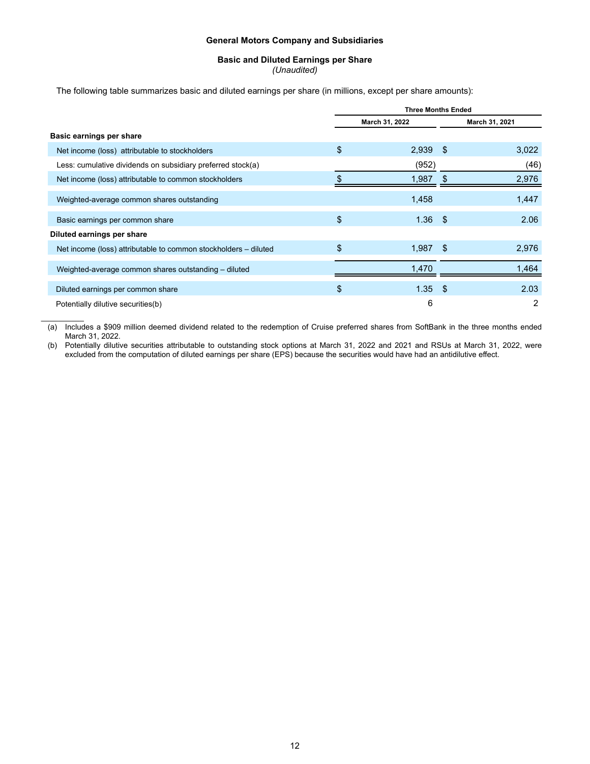# **Basic and Diluted Earnings per Share**

*(Unaudited)*

The following table summarizes basic and diluted earnings per share (in millions, except per share amounts):

|                                                                 | <b>Three Months Ended</b> |                |      |                |  |  |  |
|-----------------------------------------------------------------|---------------------------|----------------|------|----------------|--|--|--|
|                                                                 |                           | March 31, 2022 |      | March 31, 2021 |  |  |  |
| Basic earnings per share                                        |                           |                |      |                |  |  |  |
| Net income (loss) attributable to stockholders                  | \$                        | 2,939          | - \$ | 3,022          |  |  |  |
| Less: cumulative dividends on subsidiary preferred stock(a)     |                           | (952)          |      | (46)           |  |  |  |
| Net income (loss) attributable to common stockholders           |                           | 1,987          |      | 2,976          |  |  |  |
| Weighted-average common shares outstanding                      |                           | 1,458          |      | 1,447          |  |  |  |
| Basic earnings per common share                                 | \$                        | 1.36           | -\$  | 2.06           |  |  |  |
| Diluted earnings per share                                      |                           |                |      |                |  |  |  |
| Net income (loss) attributable to common stockholders – diluted | \$                        | 1.987          | \$   | 2,976          |  |  |  |
| Weighted-average common shares outstanding - diluted            |                           | 1.470          |      | 1,464          |  |  |  |
| Diluted earnings per common share                               | \$                        | $1.35$ \$      |      | 2.03           |  |  |  |
| Potentially dilutive securities(b)                              |                           | 6              |      | 2              |  |  |  |

 $\mathcal{L}_\text{max}$ (a) Includes a \$909 million deemed dividend related to the redemption of Cruise preferred shares from SoftBank in the three months ended March 31, 2022.

(b) Potentially dilutive securities attributable to outstanding stock options at March 31, 2022 and 2021 and RSUs at March 31, 2022, were excluded from the computation of diluted earnings per share (EPS) because the securities would have had an antidilutive effect.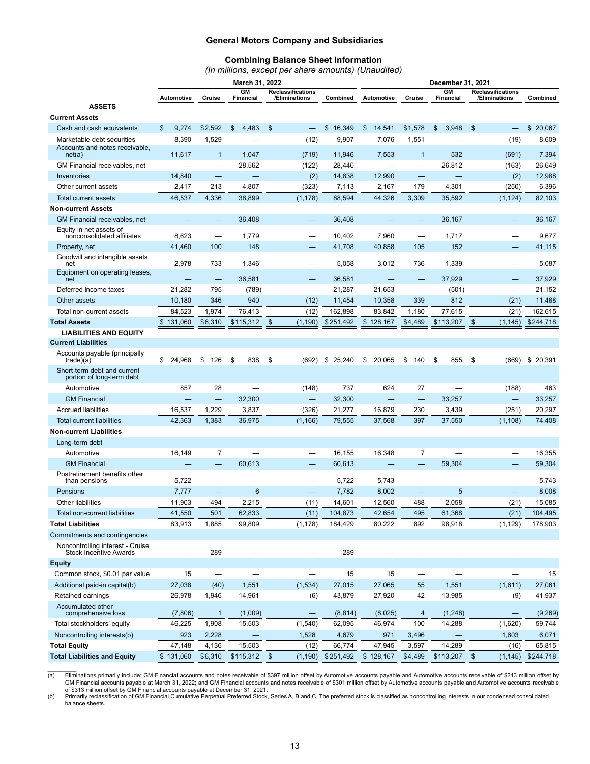# **Combining Balance Sheet Information**

*(In millions, except per share amounts) (Unaudited)*

|                                                                   | March 31, 2022           |                          |                 |               |                                           |              |    | December 31, 2021 |                          |    |                 |    |                                           |                      |  |
|-------------------------------------------------------------------|--------------------------|--------------------------|-----------------|---------------|-------------------------------------------|--------------|----|-------------------|--------------------------|----|-----------------|----|-------------------------------------------|----------------------|--|
|                                                                   | Automotive               | Cruise                   | GM<br>Financial |               | <b>Reclassifications</b><br>/Eliminations | Combined     |    | Automotive        | Cruise                   |    | GM<br>Financial |    | <b>Reclassifications</b><br>/Eliminations | Combined             |  |
| <b>ASSETS</b>                                                     |                          |                          |                 |               |                                           |              |    |                   |                          |    |                 |    |                                           |                      |  |
| <b>Current Assets</b>                                             |                          |                          |                 |               |                                           |              |    |                   |                          |    |                 |    |                                           |                      |  |
| Cash and cash equivalents                                         | \$<br>9,274              | \$2,592                  | \$<br>4,483     | $\mathsf{\$}$ |                                           | \$<br>16,349 | \$ | 14,541            | \$1,578                  | \$ | 3.948           | \$ |                                           | \$<br>20,067         |  |
| Marketable debt securities                                        | 8,390                    | 1,529                    |                 |               | (12)                                      | 9,907        |    | 7,076             | 1,551                    |    |                 |    | (19)                                      | 8,609                |  |
| Accounts and notes receivable,<br>net(a)                          | 11,617                   | $\mathbf{1}$             | 1,047           |               | (719)                                     | 11,946       |    | 7,553             | $\mathbf{1}$             |    | 532             |    | (691)                                     | 7,394                |  |
| GM Financial receivables, net                                     | $\overline{\phantom{0}}$ | —                        | 28,562          |               | (122)                                     | 28,440       |    |                   | —                        |    | 26,812          |    | (163)                                     | 26,649               |  |
| Inventories                                                       | 14,840                   | $\overline{\phantom{0}}$ |                 |               | (2)                                       | 14,838       |    | 12,990            | -                        |    |                 |    | (2)                                       | 12,988               |  |
| Other current assets                                              | 2,417                    | 213                      | 4,807           |               | (323)                                     | 7,113        |    | 2,167             | 179                      |    | 4,301           |    | (250)                                     | 6,396                |  |
| Total current assets                                              | 46,537                   | 4,336                    | 38,899          |               | (1, 178)                                  | 88,594       |    | 44,326            | 3,309                    |    | 35,592          |    | (1, 124)                                  | 82,103               |  |
| <b>Non-current Assets</b>                                         |                          |                          |                 |               |                                           |              |    |                   |                          |    |                 |    |                                           |                      |  |
| GM Financial receivables, net                                     |                          |                          | 36,408          |               |                                           | 36,408       |    |                   | -                        |    | 36,167          |    | $\overline{\phantom{0}}$                  | 36,167               |  |
| Equity in net assets of<br>nonconsolidated affiliates             | 8,623                    |                          | 1,779           |               |                                           | 10,402       |    | 7,960             | -                        |    | 1,717           |    |                                           | 9,677                |  |
| Property, net                                                     | 41,460                   | 100                      | 148             |               |                                           | 41,708       |    | 40,858            | 105                      |    | 152             |    |                                           | 41,115               |  |
| Goodwill and intangible assets,<br>net                            | 2,978                    | 733                      | 1,346           |               |                                           | 5,058        |    | 3,012             | 736                      |    | 1,339           |    | —                                         | 5,087                |  |
| Equipment on operating leases,<br>net                             |                          |                          | 36,581          |               |                                           | 36,581       |    |                   | -                        |    | 37.929          |    |                                           | 37,929               |  |
| Deferred income taxes                                             | 21,282                   | 795                      | (789)           |               | $\overline{\phantom{0}}$                  | 21,287       |    | 21,653            |                          |    | (501)           |    | $\overline{\phantom{0}}$                  | 21,152               |  |
| Other assets                                                      | 10,180                   | 346                      | 940             |               | (12)                                      | 11,454       |    | 10,358            | 339                      |    | 812             |    | (21)                                      | 11,488               |  |
| Total non-current assets                                          | 84,523                   | 1,974                    | 76,413          |               | (12)                                      | 162,898      |    | 83,842            | 1,180                    |    | 77,615          |    | (21)                                      | 162,615              |  |
| <b>Total Assets</b>                                               | \$131,060                | \$6,310                  | \$115,312       | \$            | (1, 190)                                  | \$251,492    |    | \$128,167         | \$4,489                  |    | \$113,207       | \$ | (1, 145)                                  | \$244,718            |  |
| <b>LIABILITIES AND EQUITY</b>                                     |                          |                          |                 |               |                                           |              |    |                   |                          |    |                 |    |                                           |                      |  |
| <b>Current Liabilities</b>                                        |                          |                          |                 |               |                                           |              |    |                   |                          |    |                 |    |                                           |                      |  |
| Accounts payable (principally<br>trade)(a)                        | \$<br>24,968             | \$<br>126                | \$<br>838       | \$            | (692)                                     | \$25,240     | \$ | 20,065            | \$<br>140                | \$ | 855             | \$ | (669)                                     | \$20,391             |  |
| Short-term debt and current<br>portion of long-term debt          |                          |                          |                 |               |                                           |              |    |                   |                          |    |                 |    |                                           |                      |  |
| Automotive                                                        | 857                      | 28                       | $\equiv$        |               | (148)                                     | 737          |    | 624               | 27                       |    |                 |    | (188)                                     | 463                  |  |
| <b>GM Financial</b>                                               |                          |                          | 32,300          |               | $\qquad \qquad -$                         | 32,300       |    |                   | $\overline{\phantom{0}}$ |    | 33,257          |    | $\equiv$                                  | 33,257               |  |
| <b>Accrued liabilities</b>                                        | 16,537                   | 1,229                    | 3,837           |               | (326)                                     | 21,277       |    | 16,879            | 230                      |    | 3,439           |    | (251)                                     | 20,297               |  |
| <b>Total current liabilities</b>                                  | 42,363                   | 1,383                    | 36,975          |               | (1, 166)                                  | 79,555       |    | 37,568            | 397                      |    | 37,550          |    | (1, 108)                                  | 74,408               |  |
| <b>Non-current Liabilities</b>                                    |                          |                          |                 |               |                                           |              |    |                   |                          |    |                 |    |                                           |                      |  |
| Long-term debt                                                    |                          |                          |                 |               |                                           |              |    |                   |                          |    |                 |    |                                           |                      |  |
| Automotive                                                        | 16.149                   | $\overline{7}$           |                 |               |                                           | 16,155       |    | 16,348            | $\overline{7}$           |    |                 |    |                                           | 16,355               |  |
| <b>GM Financial</b>                                               |                          |                          | 60,613          |               |                                           | 60,613       |    |                   |                          |    | 59,304          |    |                                           | 59,304               |  |
| Postretirement benefits other<br>than pensions                    | 5,722                    | $\overline{\phantom{0}}$ |                 |               |                                           | 5,722        |    | 5,743             |                          |    |                 |    | $\overline{\phantom{0}}$                  | 5,743                |  |
| <b>Pensions</b>                                                   | 7,777                    |                          | 6               |               | $\overline{\phantom{0}}$                  | 7,782        |    | 8,002             |                          |    | 5               |    |                                           | 8,008                |  |
| Other liabilities                                                 | 11,903                   | 494                      | 2,215           |               | (11)                                      | 14,601       |    | 12,560            | 488                      |    | 2,058           |    | (21)                                      | 15,085               |  |
| Total non-current liabilities                                     | 41,550                   | 501                      | 62,833          |               | (11)                                      | 104,873      |    | 42,654            | 495                      |    | 61,368          |    | (21)                                      | 104,495              |  |
| <b>Total Liabilities</b>                                          | 83,913                   | 1,885                    | 99,809          |               | (1, 178)                                  | 184,429      |    | 80,222            | 892                      |    | 98,918          |    | (1, 129)                                  | 178,903              |  |
| Commitments and contingencies                                     |                          |                          |                 |               |                                           |              |    |                   |                          |    |                 |    |                                           |                      |  |
| Noncontrolling interest - Cruise<br><b>Stock Incentive Awards</b> |                          | 289                      |                 |               |                                           | 289          |    |                   |                          |    |                 |    |                                           |                      |  |
| <b>Equity</b>                                                     |                          |                          |                 |               |                                           |              |    |                   |                          |    |                 |    |                                           |                      |  |
| Common stock, \$0.01 par value                                    | 15                       | $\overline{\phantom{0}}$ |                 |               |                                           | 15           |    | 15                |                          |    |                 |    | $\equiv$                                  | 15                   |  |
| Additional paid-in capital(b)                                     | 27,038                   | (40)                     | 1,551           |               | (1,534)                                   | 27,015       |    | 27,065            | 55                       |    | 1,551           |    | (1,611)                                   | 27,061               |  |
| Retained earnings                                                 | 26,978                   | 1,946                    | 14,961          |               | (6)                                       | 43,879       |    | 27,920            | 42                       |    | 13,985          |    | (9)                                       | 41,937               |  |
| Accumulated other<br>comprehensive loss                           | (7,806)                  | $\mathbf{1}$             | (1,009)         |               | $\qquad \qquad \longleftarrow$            | (8, 814)     |    | (8,025)           | $\overline{4}$           |    | (1,248)         |    | —                                         | (9,269)              |  |
| Total stockholders' equity                                        | 46,225                   | 1,908                    | 15,503          |               | (1, 540)                                  | 62,095       |    | 46,974            | 100                      |    | 14,288          |    | (1,620)                                   | 59,744               |  |
| Noncontrolling interests(b)                                       | 923                      | 2,228                    |                 |               | 1,528                                     | 4,679        |    | 971               | 3,496                    |    |                 |    | 1,603                                     | 6,071                |  |
| <b>Total Equity</b>                                               | 47,148                   | 4,136                    | 15,503          |               | (12)                                      | 66,774       |    | 47,945            | 3,597                    |    | 14,289          |    | (16)                                      | 65,815               |  |
| <b>Total Liabilities and Equity</b>                               | \$131,060                | \$6,310                  | $$115,312$ \$   |               | (1, 190)                                  | \$251,492    |    | \$128,167         | \$4,489                  |    | $$113,207$ \$   |    |                                           | $(1, 145)$ \$244,718 |  |

(a) Eliminations primarily include: GM Financial accounts and notes receivable of \$397 million offset by Automotive accounts payable and Automotive accounts receivable of \$243 million offset by<br>GM Financial accounts payabl

(b) Primarily reclassification of GM Financial Cumulative Perpetual Preferred Stock, Series A, B and C. The preferred stock is classified as noncontrolling interests in our condensed consolidated balance sheets.